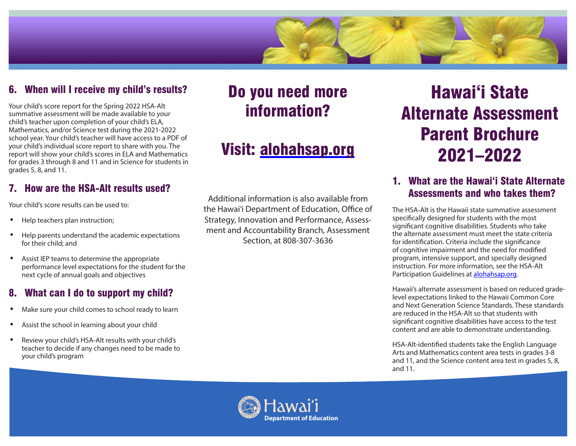

## 6. When will I receive my child's results?

Your child's score report for the Spring 2022 HSA-Alt summative assessment will be made available to your child's teacher upon completion of your child's ELA, Mathematics, and/or Science test during the 2021-2022 school year. Your child's teacher will have access to a PDF of your child's individual score report to share with you. The report will show your child's scores in ELA and Mathematics for grades 3 through 8 and 11 and in Science for students in grades 5, 8, and 11.

## 7. How are the HSA-Alt results used?

Your child's score results can be used to:

- Help teachers plan instruction;
- Help parents understand the academic expectations for their child; and
- Assist IEP teams to determine the appropriate performance level expectations for the student for the next cycle of annual goals and objectives

#### 8. What can I do to support my child?

- Make sure your child comes to school ready to learn
- Assist the school in learning about your child
- Review your child's HSA-Alt results with your child's teacher to decide if any changes need to be made to your child's program

# Do you need more information?

# Visit: alohahsap.org

Additional information is also available from the Hawai'i Department of Education, Office of Strategy, Innovation and Performance, Assessment and Accountability Branch, Assessment Section, at 808-307-3636

# Hawai'i State Alternate Assessment Parent Brochure 2021–2022

# 1. What are the Hawai'i State Alternate Assessments and who takes them?

The HSA-Alt is the Hawaii state summative assessment specifically designed for students with the most significant cognitive disabilities. Students who take the alternate assessment must meet the state criteria for identification. Criteria include the significance of cognitive impairment and the need for modified program, intensive support, and specially designed instruction. For more information, see the HSA-Alt Participation Guidelines at alohahsap.org.

Hawaii's alternate assessment is based on reduced gradelevel expectations linked to the Hawaii Common Core and Next Generation Science Standards. These standards are reduced in the HSA-Alt so that students with significant cognitive disabilities have access to the test content and are able to demonstrate understanding.

HSA-Alt-identified students take the English Language Arts and Mathematics content area tests in grades 3-8 and 11, and the Science content area test in grades 5, 8, and 11.